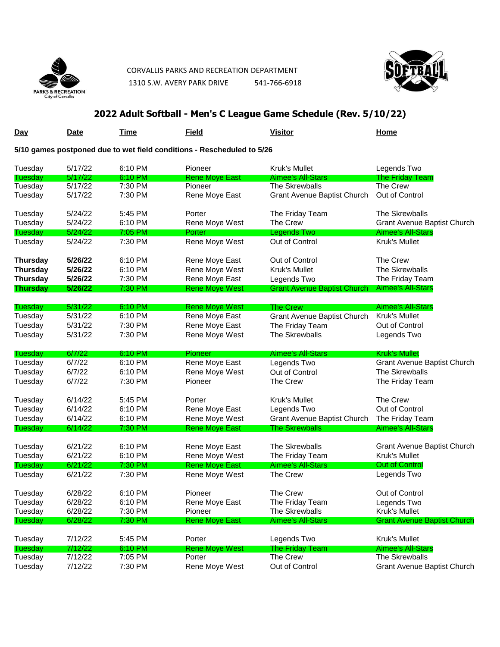

 CORVALLIS PARKS AND RECREATION DEPARTMENT 1310 S.W. AVERY PARK DRIVE 541-766-6918



## **2022 Adult Softball - Men's C League Game Schedule (Rev. 5/10/22)**

| Day                                                                    | <b>Date</b>        | Time               | <b>Field</b>              | <b>Visitor</b>                                | <b>Home</b>                        |  |
|------------------------------------------------------------------------|--------------------|--------------------|---------------------------|-----------------------------------------------|------------------------------------|--|
| 5/10 games postponed due to wet field conditions - Rescheduled to 5/26 |                    |                    |                           |                                               |                                    |  |
| Tuesday                                                                | 5/17/22            | 6:10 PM            | Pioneer                   | <b>Kruk's Mullet</b>                          | Legends Two                        |  |
| Tuesday                                                                | 5/17/22            | 6:10 PM            | <b>Rene Moye East</b>     | <b>Aimee's All-Stars</b>                      | <b>The Friday Team</b>             |  |
| Tuesday<br>Tuesday                                                     | 5/17/22<br>5/17/22 | 7:30 PM<br>7:30 PM | Pioneer<br>Rene Moye East | The Skrewballs<br>Grant Avenue Baptist Church | The Crew<br>Out of Control         |  |
| Tuesday                                                                | 5/24/22            | 5:45 PM            | Porter                    | The Friday Team                               | The Skrewballs                     |  |
| Tuesday                                                                | 5/24/22            | 6:10 PM            | Rene Moye West            | The Crew                                      | Grant Avenue Baptist Church        |  |
| Tuesday                                                                | 5/24/22            | $7:05$ PM          | Porter                    | <b>Legends Two</b>                            | <b>Aimee's All-Stars</b>           |  |
| Tuesday                                                                | 5/24/22            | 7:30 PM            | Rene Moye West            | Out of Control                                | Kruk's Mullet                      |  |
| <b>Thursday</b>                                                        | 5/26/22            | 6:10 PM            | Rene Moye East            | Out of Control                                | The Crew                           |  |
| <b>Thursday</b>                                                        | 5/26/22            | 6:10 PM            | Rene Moye West            | Kruk's Mullet                                 | The Skrewballs                     |  |
| <b>Thursday</b>                                                        | 5/26/22            | 7:30 PM            | Rene Moye East            | Legends Two                                   | The Friday Team                    |  |
| <b>Thursday</b>                                                        | 5/26/22            | 7:30 PM            | <b>Rene Moye West</b>     | <b>Grant Avenue Baptist Church</b>            | <b>Aimee's All-Stars</b>           |  |
| Tuesday                                                                | 5/31/22            | 6:10 PM            | <b>Rene Moye West</b>     | <b>The Crew</b>                               | <b>Aimee's All-Stars</b>           |  |
| Tuesday                                                                | 5/31/22            | 6:10 PM            | Rene Moye East            | <b>Grant Avenue Baptist Church</b>            | Kruk's Mullet                      |  |
| Tuesday                                                                | 5/31/22            | 7:30 PM            | Rene Moye East            | The Friday Team                               | Out of Control                     |  |
| Tuesday                                                                | 5/31/22            | 7:30 PM            | Rene Moye West            | The Skrewballs                                | Legends Two                        |  |
| Tuesday                                                                | 6/7/22             | 6:10 PM            | Pioneer                   | Aimee's All-Stars                             | Kruk's Mullet                      |  |
| Tuesday                                                                | 6/7/22             | 6:10 PM            | Rene Moye East            | Legends Two                                   | <b>Grant Avenue Baptist Church</b> |  |
|                                                                        |                    | 6:10 PM            | Rene Moye West            | Out of Control                                | The Skrewballs                     |  |
| Tuesday                                                                | 6/7/22             |                    |                           |                                               |                                    |  |
| Tuesday                                                                | 6/7/22             | 7:30 PM            | Pioneer                   | The Crew                                      | The Friday Team                    |  |
| Tuesday                                                                | 6/14/22            | 5:45 PM            | Porter                    | Kruk's Mullet                                 | The Crew                           |  |
| Tuesday                                                                | 6/14/22            | 6:10 PM            | Rene Moye East            | Legends Two                                   | Out of Control                     |  |
| Tuesday                                                                | 6/14/22            | 6:10 PM            | Rene Moye West            | Grant Avenue Baptist Church                   | The Friday Team                    |  |
| Tuesday                                                                | 6/14/22            | 7:30 PM            | <b>Rene Moye East</b>     | <b>The Skrewballs</b>                         | <b>Aimee's All-Stars</b>           |  |
| Tuesday                                                                | 6/21/22            | 6:10 PM            | Rene Moye East            | The Skrewballs                                | <b>Grant Avenue Baptist Church</b> |  |
| Tuesday                                                                | 6/21/22            | 6:10 PM            | Rene Moye West            | The Friday Team                               | Kruk's Mullet                      |  |
| Tuesday                                                                | 6/21/22            | 7:30 PM            | <b>Rene Moye East</b>     | <b>Aimee's All-Stars</b>                      | <b>Out of Control</b>              |  |
| Tuesday                                                                | 6/21/22            | 7:30 PM            | Rene Moye West            | The Crew                                      | Legends Two                        |  |
| Tuesday                                                                | 6/28/22            | 6:10 PM            | Pioneer                   | The Crew                                      | Out of Control                     |  |
| Tuesday                                                                | 6/28/22            | 6:10 PM            | Rene Moye East            | The Friday Team                               | Legends Two                        |  |
| Tuesday                                                                | 6/28/22            | 7:30 PM            | Pioneer                   | The Skrewballs                                | Kruk's Mullet                      |  |
| Tuesday                                                                | 6/28/22            | 7:30 PM            | <b>Rene Moye East</b>     | <b>Aimee's All-Stars</b>                      | <b>Grant Avenue Baptist Church</b> |  |
| Tuesday                                                                | 7/12/22            | 5:45 PM            | Porter                    | Legends Two                                   | Kruk's Mullet                      |  |
| <b>Tuesday</b>                                                         | 7/12/22            | 6:10 PM            | <b>Rene Moye West</b>     | <b>The Friday Team</b>                        | <b>Aimee's All-Stars</b>           |  |
| Tuesday                                                                | 7/12/22            | 7:05 PM            | Porter                    | The Crew                                      | The Skrewballs                     |  |